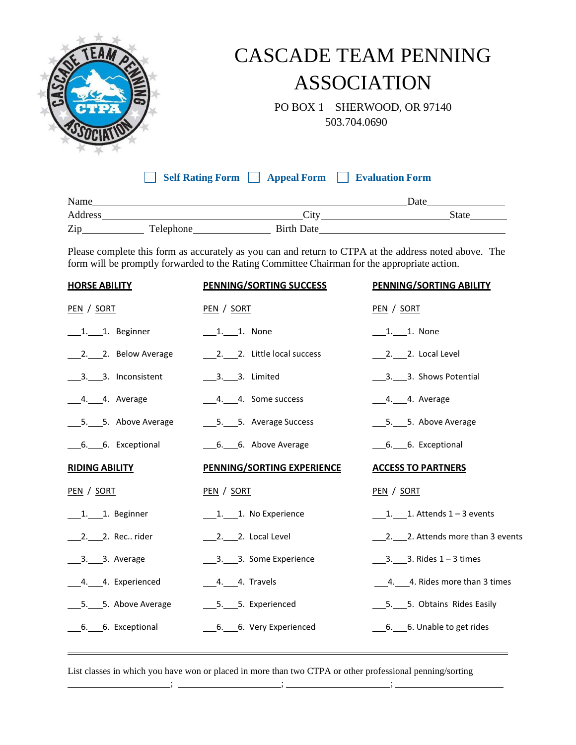

## CASCADE TEAM PENNING ASSOCIATION

 PO BOX 1 – SHERWOOD, OR 97140 503.704.0690

**Self Rating Form Appeal Form Evaluation Form**

| Name    | Date      |                   |              |
|---------|-----------|-------------------|--------------|
| Address |           | City              | <b>State</b> |
| Zip     | Telephone | <b>Birth Date</b> |              |

Please complete this form as accurately as you can and return to CTPA at the address noted above. The form will be promptly forwarded to the Rating Committee Chairman for the appropriate action.

| <b>HORSE ABILITY</b>  | <b>PENNING/SORTING SUCCESS</b>    | PENNING/SORTING ABILITY              |
|-----------------------|-----------------------------------|--------------------------------------|
| PEN / SORT            | PEN / SORT                        | PEN / SORT                           |
| 1. 1. Beginner        | 1. 1. None                        | 1. 1. None                           |
|                       | 2. 2. Little local success        | $2.2$ . 2. Local Level               |
| 3. 3. Inconsistent    | 3. 3. Limited                     |                                      |
|                       | 4. 4. Some success                |                                      |
| _____5. Above Average | ____5. Average Success            | ____5. Above Average                 |
| 6. 6. Exceptional     | 6. 6. Above Average               | 6. 6. Exceptional                    |
| <b>RIDING ABILITY</b> | <b>PENNING/SORTING EXPERIENCE</b> | <b>ACCESS TO PARTNERS</b>            |
|                       |                                   |                                      |
| PEN / SORT            | PEN / SORT                        | PEN / SORT                           |
| $1.$ 1. Beginner      | 1. 1. No Experience               | $1.$ 1. Attends $1 - 3$ events       |
| 2. 2. Rec rider       | 2. 2. Local Level                 | 2. 2. Attends more than 3 events     |
| 3. 3. Average         |                                   | $\frac{3}{2}$ . 3. Rides 1 – 3 times |
| ____4. Experienced    |                                   | 4. 4. Rides more than 3 times        |
| _____5. Above Average | ___5. Experienced                 | ____5. _____5. Obtains Rides Easily  |
| 6. 6. Exceptional     | 6. 6. Very Experienced            | 6. 6. Unable to get rides            |

List classes in which you have won or placed in more than two CTPA or other professional penning/sorting

; ; ;